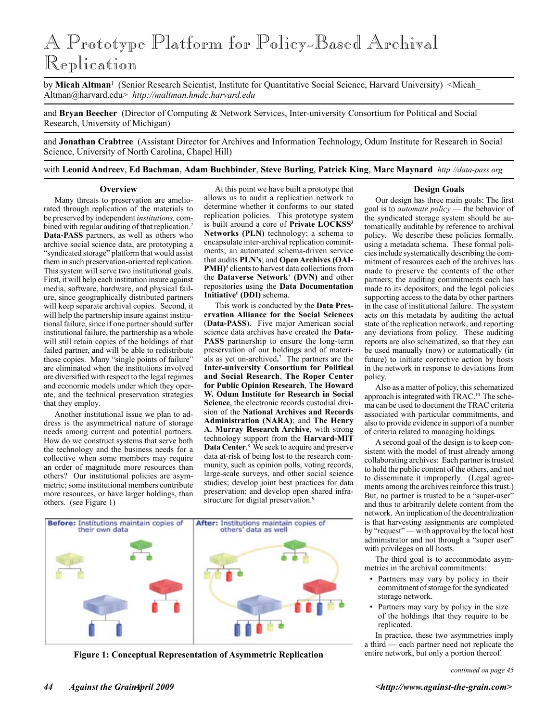# A Prototype Platform for Policy-Based Archival Replication

by **Micah Altman**<sup>1</sup> (Senior Research Scientist, Institute for Quantitative Social Science, Harvard University) <Micah\_ Altman@harvard.edu> *http://maltman.hmdc.harvard.edu*

and **Bryan Beecher** (Director of Computing & Network Services, Inter-university Consortium for Political and Social Research, University of Michigan)

and **Jonathan Crabtree** (Assistant Director for Archives and Information Technology, Odum Institute for Research in Social Science, University of North Carolina, Chapel Hill)

with **Leonid Andreev**, **Ed Bachman**, **Adam Buchbinder**, **Steve Burling**, **Patrick King**, **Marc Maynard** *http://data-pass.org*

#### **Overview**

Many threats to preservation are ameliorated through replication of the materials to be preserved by independent *institutions,* combined with regular auditing of that replication.<sup>2</sup> **Data-PASS** partners, as well as others who archive social science data, are prototyping a "syndicated storage" platform that would assist them in such preservation-oriented replication. This system will serve two institutional goals. First, it will help each institution insure against media, software, hardware, and physical failure, since geographically distributed partners will keep separate archival copies. Second, it will help the partnership insure against institutional failure, since if one partner should suffer institutional failure, the partnership as a whole will still retain copies of the holdings of that failed partner, and will be able to redistribute those copies. Many "single points of failure" are eliminated when the institutions involved are diversified with respect to the legal regimes and economic models under which they operate, and the technical preservation strategies that they employ.

Another institutional issue we plan to address is the asymmetrical nature of storage needs among current and potential partners. How do we construct systems that serve both the technology and the business needs for a collective when some members may require an order of magnitude more resources than others? Our institutional policies are asymmetric; some institutional members contribute more resources, or have larger holdings, than others. (see Figure 1)

At this point we have built a prototype that allows us to audit a replication network to determine whether it conforms to our stated replication policies. This prototype system is built around a core of **Private LOCKSS**<sup>3</sup> **Networks (PLN)** technology; a schema to encapsulate inter-archival replication commitments; an automated schema-driven service that audits **PLN's**; and **Open Archives (OAI-PMH**)<sup>4</sup> clients to harvest data collections from the **Dataverse Network**<sup>5</sup>  **(DVN)** and other repositories using the **Data Documentation Initiative**<sup>6</sup>  **(DDI)** schema.

This work is conducted by the **Data Preservation Alliance for the Social Sciences** (**Data-PASS**). Five major American social science data archives have created the **Data-PASS** partnership to ensure the long-term preservation of our holdings and of materials as yet un-archived**.** 7 The partners are the **Inter-university Consortium for Political and Social Research**, **The Roper Center for Public Opinion Research**, **The Howard W. Odum Institute for Research in Social Science**, the electronic records custodial division of the **National Archives and Records Administration (NARA)**; and **The Henry A. Murray Research Archive**, with strong technology support from the **Harvard-MIT Data Center**. 8 We seek to acquire and preserve data at-risk of being lost to the research community, such as opinion polls, voting records, large-scale surveys, and other social science studies; develop joint best practices for data preservation; and develop open shared infrastructure for digital preservation.<sup>9</sup>





#### **Design Goals**

Our design has three main goals: The first goal is to *automate policy* — the behavior of the syndicated storage system should be automatically auditable by reference to archival policy. We describe these policies formally, using a metadata schema. These formal policies include systematically describing the commitment of resources each of the archives has made to preserve the contents of the other partners; the auditing commitments each has made to its depositors; and the legal policies supporting access to the data by other partners in the case of institutional failure. The system acts on this metadata by auditing the actual state of the replication network, and reporting any deviations from policy. These auditing reports are also schematized, so that they can be used manually (now) or automatically (in future) to initiate corrective action by hosts in the network in response to deviations from policy.

Also as a matter of policy, this schematized approach is integrated with TRAC.10 The schema can be used to document the TRAC criteria associated with particular commitments, and also to provide evidence in support of a number of criteria related to managing holdings.

A second goal of the design is to keep consistent with the model of trust already among collaborating archives: Each partner is trusted to hold the public content of the others, and not to disseminate it improperly. (Legal agreements among the archives reinforce this trust.) But, no partner is trusted to be a "super-user" and thus to arbitrarily delete content from the network. An implication of the decentralization is that harvesting assignments are completed by "request" — with approval by the local host administrator and not through a "super user" with privileges on all hosts.

The third goal is to accommodate asymmetries in the archival commitments:

- Partners may vary by policy in their commitment of storage for the syndicated storage network.
- Partners may vary by policy in the size of the holdings that they require to be replicated.

In practice, these two asymmetries imply a third — each partner need not replicate the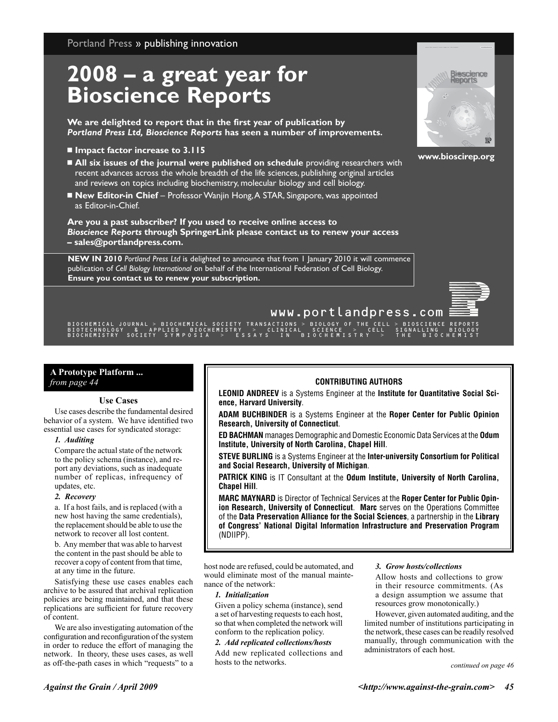Portland Press » publishing innovation

## **2008 – a great year for Bioscience Reports**

**We are delighted to report that in the first year of publication by** *Portland Press Ltd, Bioscience Reports* **has seen a number of improvements.**

- � **Impact factor increase to 3.115**
- � **All six issues of the journal were published on schedule** providing researchers with recent advances across the whole breadth of the life sciences, publishing original articles and reviews on topics including biochemistry, molecular biology and cell biology.
- New Editor-in Chief Professor Wanjin Hong, A STAR, Singapore, was appointed as Editor-in-Chief.

**Are you a past subscriber? If you used to receive online access to** *Bioscience Reports* **through SpringerLink please contact us to renew your access – sales@portlandpress.com.**

**NEW IN 2010** *Portland Press Ltd* is delighted to announce that from 1 January 2010 it will commence publication of *Cell Biology International* on behalf of the International Federation of Cell Biology. **Ensure you contact us to renew your subscription.**



**www.bioscirep.org**



### www.portlandpress.com

|<br>| BIOCHEMICAL JOURNAL > BIOCHEMICAL SOCIETY TRANSACTIONS > BIOLOGY OF THE CELL > BIOSCIENCE REPORT<br>| BIOTECHNOLOGY & APPLIED BIOCHEMISTRY > CLINICAL SCIENCE > CELL SIGNALLING BIOLOG<br>| BIOCHEMISTRY SOCIETY SYMPOSIA > ESSA

#### **A Prototype Platform ...** *from page 44* **CONTRIBUTING AUTHORS**

#### **Use Cases**

Use cases describe the fundamental desired behavior of a system. We have identified two essential use cases for syndicated storage:

#### *1. Auditing*

Compare the actual state of the network to the policy schema (instance), and report any deviations, such as inadequate number of replicas, infrequency of updates, etc.

#### *2. Recovery*

a. If a host fails, and is replaced (with a new host having the same credentials), the replacement should be able to use the network to recover all lost content.

b. Any member that was able to harvest the content in the past should be able to recover a copy of content from that time, at any time in the future.

Satisfying these use cases enables each archive to be assured that archival replication policies are being maintained, and that these replications are sufficient for future recovery of content.

We are also investigating automation of the configuration and reconfiguration of the system in order to reduce the effort of managing the network. In theory, these uses cases, as well as off-the-path cases in which "requests" to a

**LEONID ANDREEV** is a Systems Engineer at the Institute for Quantitative Social Sci**ence, Harvard University**.

**Adam Buchbinder** is a Systems Engineer at the **Roper Center for Public Opinion Research, University of Connecticut**.

**Ed Bachman** manages Demographic and Domestic Economic Data Services at the **Odum Institute, University of North Carolina, Chapel Hill**.

**Steve Burling** is a Systems Engineer at the **Inter-university Consortium for Political and Social Research, University of Michigan**.

**PATRICK KING** is IT Consultant at the **Odum Institute, University of North Carolina, Chapel Hill**.

**Marc Maynard** is Director of Technical Services at the **Roper Center for Public Opinion Research, University of Connecticut**. **Marc** serves on the Operations Committee of the **Data Preservation Alliance for the Social Sciences**, a partnership in the **Library of Congress' National Digital Information Infrastructure and Preservation Program** (NDIIPP).

host node are refused, could be automated, and would eliminate most of the manual maintenance of the network:

#### *1. Initialization*

Given a policy schema (instance), send a set of harvesting requests to each host, so that when completed the network will conform to the replication policy.

#### *2. Add replicated collections/hosts*

Add new replicated collections and hosts to the networks.

#### *3. Grow hosts/collections*

Allow hosts and collections to grow in their resource commitments. (As a design assumption we assume that resources grow monotonically.)

However, given automated auditing, and the limited number of institutions participating in the network, these cases can be readily resolved manually, through communication with the administrators of each host.

*continued on page 46*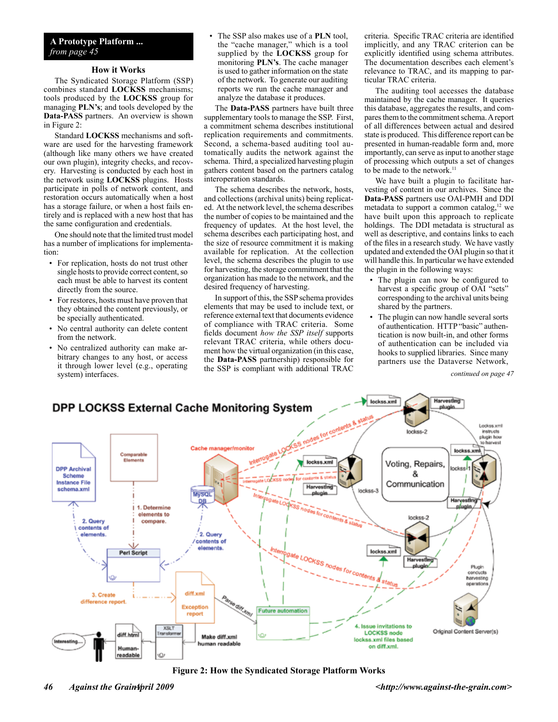### **A Prototype Platform ...** *from page 45*

#### **How it Works**

The Syndicated Storage Platform (SSP) combines standard **LOCKSS** mechanisms; tools produced by the **LOCKSS** group for managing **PLN's**; and tools developed by the **Data-PASS** partners. An overview is shown in Figure 2:

Standard **LOCKSS** mechanisms and software are used for the harvesting framework (although like many others we have created our own plugin), integrity checks, and recovery. Harvesting is conducted by each host in the network using **LOCKSS** plugins. Hosts participate in polls of network content, and restoration occurs automatically when a host has a storage failure, or when a host fails entirely and is replaced with a new host that has the same configuration and credentials.

One should note that the limited trust model has a number of implications for implementation:

- For replication, hosts do not trust other single hosts to provide correct content, so each must be able to harvest its content directly from the source.
- For restores, hosts must have proven that they obtained the content previously, or be specially authenticated.
- No central authority can delete content from the network.
- No centralized authority can make arbitrary changes to any host, or access it through lower level (e.g., operating system) interfaces.

• The SSP also makes use of a **PLN** tool, the "cache manager," which is a tool supplied by the **LOCKSS** group for monitoring **PLN's**. The cache manager is used to gather information on the state of the network. To generate our auditing reports we run the cache manager and analyze the database it produces.

The **Data-PASS** partners have built three supplementary tools to manage the SSP. First, a commitment schema describes institutional replication requirements and commitments. Second, a schema-based auditing tool automatically audits the network against the schema. Third, a specialized harvesting plugin gathers content based on the partners catalog interoperation standards.

The schema describes the network, hosts, and collections (archival units) being replicated. At the network level, the schema describes the number of copies to be maintained and the frequency of updates. At the host level, the schema describes each participating host, and the size of resource commitment it is making available for replication. At the collection level, the schema describes the plugin to use for harvesting, the storage commitment that the organization has made to the network, and the desired frequency of harvesting.

In support of this, the SSP schema provides elements that may be used to include text, or reference external text that documents evidence of compliance with TRAC criteria. Some fields document *how the SSP itself* supports relevant TRAC criteria, while others document how the virtual organization (in this case, the **Data-PASS** partnership) responsible for the SSP is compliant with additional TRAC

criteria. Specific TRAC criteria are identified implicitly, and any TRAC criterion can be explicitly identified using schema attributes. The documentation describes each element's relevance to TRAC, and its mapping to particular TRAC criteria.

The auditing tool accesses the database maintained by the cache manager. It queries this database, aggregates the results, and compares them to the commitment schema. A report of all differences between actual and desired state is produced. This difference report can be presented in human-readable form and, more importantly, can serve as input to another stage of processing which outputs a set of changes to be made to the network.<sup>11</sup>

We have built a plugin to facilitate harvesting of content in our archives. Since the **Data-PASS** partners use OAI-PMH and DDI metadata to support a common catalog, $12$  we have built upon this approach to replicate holdings. The DDI metadata is structural as well as descriptive, and contains links to each of the files in a research study. We have vastly updated and extended the OAI plugin so that it will handle this. In particular we have extended the plugin in the following ways:

- The plugin can now be configured to harvest a specific group of OAI "sets" corresponding to the archival units being shared by the partners.
- The plugin can now handle several sorts of authentication. HTTP "basic" authentication is now built-in, and other forms of authentication can be included via hooks to supplied libraries. Since many partners use the Dataverse Network,

*continued on page 47*



**Figure 2: How the Syndicated Storage Platform Works**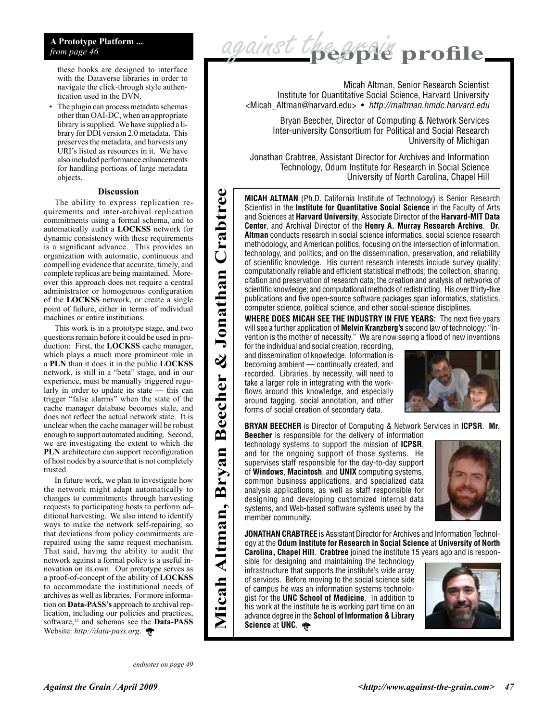#### **A Prototype Platform ...** *from page 46*

these hooks are designed to interface with the Dataverse libraries in order to navigate the click-through style authentication used in the DVN.

• The plugin can process metadata schemas other than OAI-DC, when an appropriate library is supplied. We have supplied a library for DDI version 2.0 metadata. This preserves the metadata, and harvests any URI's listed as resources in it. We have also included performance enhancements for handling portions of large metadata objects.

#### **Discussion**

The ability to express replication requirements and inter-archival replication commitments using a formal schema, and to automatically audit a **LOCKSS** network for dynamic consistency with these requirements is a significant advance. This provides an organization with automatic, continuous and compelling evidence that accurate, timely, and complete replicas are being maintained. Moreover this approach does not require a central administrator or homogenous configuration of the **LOCKSS** network, or create a single point of failure, either in terms of individual machines or entire institutions.

This work is in a prototype stage, and two questions remain before it could be used in production: First, the **LOCKSS** cache manager, which plays a much more prominent role in a **PLN** than it does it in the public **LOCKSS** network, is still in a "beta" stage, and in our experience, must be manually triggered regularly in order to update its state — this can trigger "false alarms" when the state of the cache manager database becomes stale, and does not reflect the actual network state. It is unclear when the cache manager will be robust enough to support automated auditing. Second, we are investigating the extent to which the **PLN** architecture can support reconfiguration of host nodes by a source that is not completely trusted.

In future work, we plan to investigate how the network might adapt automatically to changes to commitments through harvesting requests to participating hosts to perform additional harvesting. We also intend to identify ways to make the network self-repairing, so that deviations from policy commitments are repaired using the same request mechanism. That said, having the ability to audit the network against a formal policy is a useful innovation on its own. Our prototype serves as a proof-of-concept of the ability of **LOCKSS** to accommodate the institutional needs of archives as well as libraries. For more information on **Data-PASS's** approach to archival replication, including our policies and practices, software,13 and schemas see the **Data-PASS** Website: *http://data-pass.org*.

*endnotes on page 49*

**Micah Altman, Bryan Beecher & Jonathan Crabtree** 

**Beecher** 

rvan

മ്

Micah Altman,

Crabtree

Jonathan

 $\infty$ 



Micah Altman, Senior Research Scientist Institute for Quantitative Social Science, Harvard University <Micah\_Altman@harvard.edu> • *http://maltman.hmdc.harvard.edu*

Bryan Beecher, Director of Computing & Network Services Inter-university Consortium for Political and Social Research University of Michigan

Jonathan Crabtree, Assistant Director for Archives and Information Technology, Odum Institute for Research in Social Science University of North Carolina, Chapel Hill

**Micah Altman** (Ph.D. California Institute of Technology) is Senior Research Scientist in the **Institute for Quantitative Social Science** in the Faculty of Arts and Sciences at **Harvard University**, Associate Director of the **Harvard-MIT Data Center**, and Archival Director of the **Henry A. Murray Research Archive**. **Dr. Altman** conducts research in social science informatics, social science research methodology, and American politics, focusing on the intersection of information, technology, and politics; and on the dissemination, preservation, and reliability of scientific knowledge. His current research interests include survey quality; computationally reliable and efficient statistical methods; the collection, sharing, citation and preservation of research data; the creation and analysis of networks of scientific knowledge; and computational methods of redistricting. His over thirty-five publications and five open-source software packages span informatics, statistics, computer science, political science, and other social-science disciplines.

**Where does MICAH see the industry in five years:** The next five years will see a further application of **Melvin Kranzberg's** second law of technology: "Invention is the mother of necessity." We are now seeing a flood of new inventions

for the individual and social creation, recording, and dissemination of knowledge. Information is becoming ambient — continually created, and recorded. Libraries, by necessity, will need to take a larger role in integrating with the workflows around this knowledge, and especially around tagging, social annotation, and other forms of social creation of secondary data.



**Bryan Beecher** is Director of Computing & Network Services in **ICPSR**. **Mr. Beecher** is responsible for the delivery of information

technology systems to support the mission of **ICPSR**, and for the ongoing support of those systems. He supervises staff responsible for the day-to-day support of **Windows**, **Macintosh**, and **UNIX** computing systems, common business applications, and specialized data analysis applications, as well as staff responsible for designing and developing customized internal data systems, and Web-based software systems used by the member community.



**Jonathan Crabtree** is Assistant Director for Archives and Information Technology at the **Odum Institute for Research in Social Science** at **University of North Carolina, Chapel Hill**. **Crabtree** joined the institute 15 years ago and is respon-

sible for designing and maintaining the technology infrastructure that supports the institute's wide array of services. Before moving to the social science side of campus he was an information systems technologist for the **UNC School of Medicine**. In addition to his work at the institute he is working part time on an advance degree in the **School of Information & Library Science** at **UNC**.